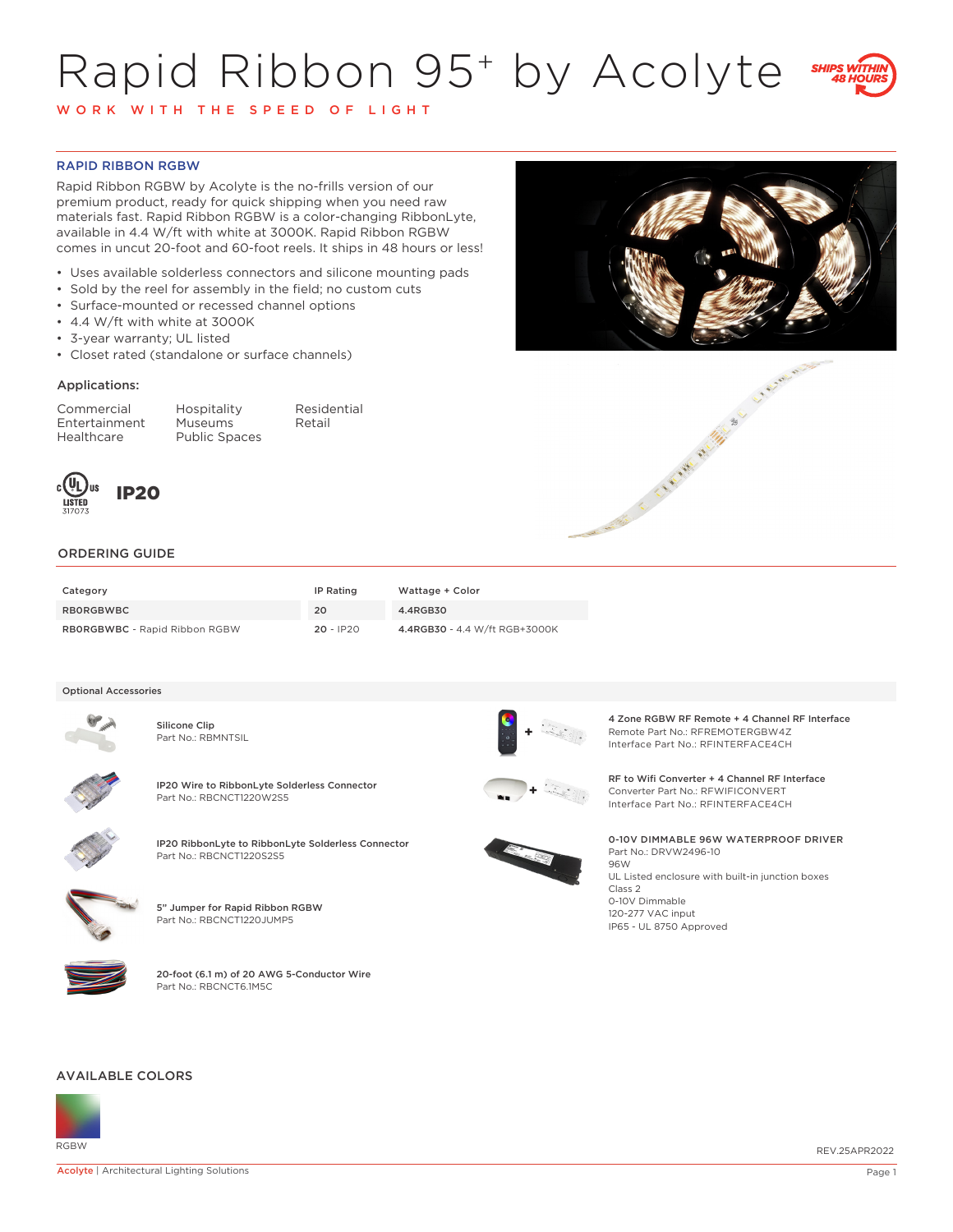# Rapid Ribbon 95+ by Acolyte



W O R K W I T H T H E S P E E D O F L I G H T

# RAPID RIBBON RGBW

Rapid Ribbon RGBW by Acolyte is the no-frills version of our premium product, ready for quick shipping when you need raw materials fast. Rapid Ribbon RGBW is a color-changing RibbonLyte, available in 4.4 W/ft with white at 3000K. Rapid Ribbon RGBW comes in uncut 20-foot and 60-foot reels. It ships in 48 hours or less!

- Uses available solderless connectors and silicone mounting pads
- Sold by the reel for assembly in the field; no custom cuts
- Surface-mounted or recessed channel options
- 4.4 W/ft with white at 3000K
- 3-year warranty; UL listed
- Closet rated (standalone or surface channels)

### Applications:

Entertainment<br>Healthcare

Commercial Hospitality Residential Public Spaces







# ORDERING GUIDE

| Category                             | IP Rating   | Wattage + Color               |
|--------------------------------------|-------------|-------------------------------|
| RBORGBWBC                            | 20          | 4.4RGB30                      |
| <b>RBORGBWBC</b> - Rapid Ribbon RGBW | $20 - IP20$ | 4.4RGB30 - 4.4 W/ft RGB+3000K |

#### Optional Accessories



Silicone Clip Part No.: RBMNTSIL





IP20 RibbonLyte to RibbonLyte Solderless Connector Part No.: RBCNCT1220S2S5



5" Jumper for Rapid Ribbon RGBW Part No.: RBCNCT1220JUMP5



20-foot (6.1 m) of 20 AWG 5-Conductor Wire Part No.: RBCNCT6.1M5C

4 Zone RGBW RF Remote + 4 Channel RF Interface Remote Part No.: RFREMOTERGBW4Z Interface Part No.: RFINTERFACE4CH

**IP20 Wire to RibbonLyte Solderless Connector**<br>Part No.: RBCNCT1220W2S5 **+** Research Converter Part No.: RETO RESEARCH PART NO.: RETO RESEARCH PART NO.: RETO RESEARCH PART NO.: RETO RESEARCH PART NO.: RETO RESEARCH PART NO Converter Part No.: RFWIFICONVERT Interface Part No.: RFINTERFACE4CH



0-10V DIMMABLE 96W WATERPROOF DRIVER Part No.: DRVW2496-10 96W UL Listed enclosure with built-in junction boxes Class 2

0-10V Dimmable 120-277 VAC input IP65 - UL 8750 Approved

#### AVAILABLE COLORS